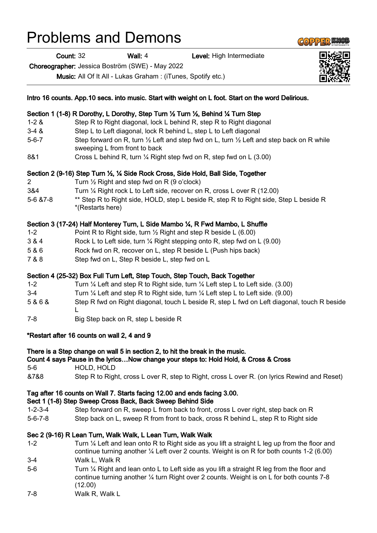# Problems and Demons

Count: 32 Wall: 4 Level: High Intermediate

Choreographer: Jessica Boström (SWE) - May 2022

Music: All Of It All - Lukas Graham : (iTunes, Spotify etc.)

|                 | Intro 16 counts. App.10 secs. into music. Start with weight on L foot. Start on the word Delirious.                                                                                                           |
|-----------------|---------------------------------------------------------------------------------------------------------------------------------------------------------------------------------------------------------------|
|                 | Section 1 (1-8) R Dorothy, L Dorothy, Step Turn 1/2 Turn 1/2, Behind 1/4 Turn Step                                                                                                                            |
| $1 - 2 &$       | Step R to Right diagonal, lock L behind R, step R to Right diagonal                                                                                                                                           |
| $3-4 & 8$       | Step L to Left diagonal, lock R behind L, step L to Left diagonal                                                                                                                                             |
| $5 - 6 - 7$     | Step forward on R, turn $\frac{1}{2}$ Left and step fwd on L, turn $\frac{1}{2}$ Left and step back on R while<br>sweeping L from front to back                                                               |
| 8&1             | Cross L behind R, turn 1/4 Right step fwd on R, step fwd on L (3.00)                                                                                                                                          |
|                 | Section 2 (9-16) Step Turn 1/2, 1/4 Side Rock Cross, Side Hold, Ball Side, Together                                                                                                                           |
| $\overline{c}$  | Turn $\frac{1}{2}$ Right and step fwd on R (9 o'clock)                                                                                                                                                        |
| 3&4             | Turn 1/4 Right rock L to Left side, recover on R, cross L over R (12.00)                                                                                                                                      |
| 5-6 & 7-8       | ** Step R to Right side, HOLD, step L beside R, step R to Right side, Step L beside R<br>*(Restarts here)                                                                                                     |
|                 | Section 3 (17-24) Half Monterey Turn, L Side Mambo 1/4, R Fwd Mambo, L Shuffle                                                                                                                                |
| $1 - 2$         | Point R to Right side, turn $\frac{1}{2}$ Right and step R beside L (6.00)                                                                                                                                    |
| 3 & 4           | Rock L to Left side, turn 1/4 Right stepping onto R, step fwd on L (9.00)                                                                                                                                     |
| 5 & 6           | Rock fwd on R, recover on L, step R beside L (Push hips back)                                                                                                                                                 |
| 7 & 8           | Step fwd on L, Step R beside L, step fwd on L                                                                                                                                                                 |
|                 | Section 4 (25-32) Box Full Turn Left, Step Touch, Step Touch, Back Together                                                                                                                                   |
| $1 - 2$         | Turn $\frac{1}{4}$ Left and step R to Right side, turn $\frac{1}{4}$ Left step L to Left side. (3.00)                                                                                                         |
| $3 - 4$         | Turn $\frac{1}{4}$ Left and step R to Right side, turn $\frac{1}{4}$ Left step L to Left side. (9.00)                                                                                                         |
| 5&6&            | Step R fwd on Right diagonal, touch L beside R, step L fwd on Left diagonal, touch R beside<br>L                                                                                                              |
| $7 - 8$         | Big Step back on R, step L beside R                                                                                                                                                                           |
|                 | *Restart after 16 counts on wall 2, 4 and 9                                                                                                                                                                   |
|                 | There is a Step change on wall 5 in section 2, to hit the break in the music.<br>Count 4 says Pause in the lyricsNow change your steps to: Hold Hold, & Cross & Cross                                         |
| $5-6$           | HOLD, HOLD                                                                                                                                                                                                    |
| &7&8            | Step R to Right, cross L over R, step to Right, cross L over R. (on lyrics Rewind and Reset)                                                                                                                  |
|                 | Tag after 16 counts on Wall 7. Starts facing 12.00 and ends facing 3.00.                                                                                                                                      |
|                 | Sect 1 (1-8) Step Sweep Cross Back, Back Sweep Behind Side                                                                                                                                                    |
| $1 - 2 - 3 - 4$ | Step forward on R, sweep L from back to front, cross L over right, step back on R                                                                                                                             |
| $5 - 6 - 7 - 8$ | Step back on L, sweep R from front to back, cross R behind L, step R to Right side                                                                                                                            |
|                 | Sec 2 (9-16) R Lean Turn, Walk Walk, L Lean Turn, Walk Walk                                                                                                                                                   |
| $1 - 2$         | Turn 1/4 Left and lean onto R to Right side as you lift a straight L leg up from the floor and<br>continue turning another 1/4 Left over 2 counts. Weight is on R for both counts 1-2 (6.00)                  |
| $3-4$           | Walk L, Walk R                                                                                                                                                                                                |
| $5-6$           | Turn $\frac{1}{4}$ Right and lean onto L to Left side as you lift a straight R leg from the floor and<br>continue turning another 1/4 turn Right over 2 counts. Weight is on L for both counts 7-8<br>(12.00) |

7-8 Walk R, Walk L